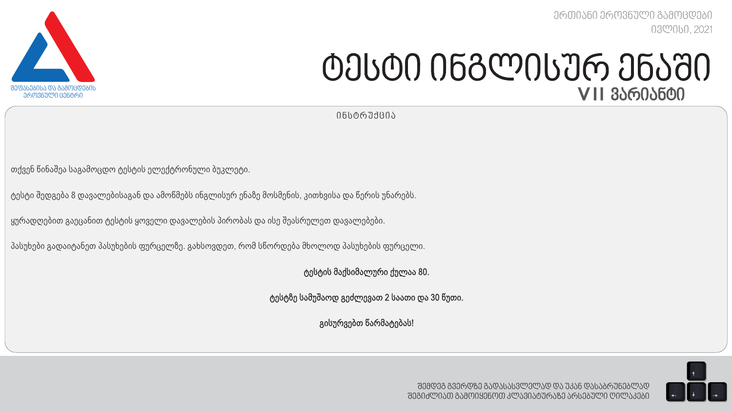

*ერთიანი ეროვნული გამოცდები ივლისი, 20*21

# *ტესტი ინგლისურ ენაში V* II *ვარიანტი*

*ი ნსტ რ უქცი ა*

თქვენ წინაშეა საგამოცდო ტესტის ელექტრონული ბუკლეტი.

ტესტი შედგება 8 დავალებისაგან და ამოწმებს ინგლისურ ენაზე მოსმენის, კითხვისა და წერის უნარებს.

ყურადღებით გაეცანით ტესტის ყოველი დავალების პირობას და ისე შეასრულეთ დავალებები.

პასუხები გადაიტანეთ პასუხების ფურცელზე. გახსოვდეთ, რომ სწორდება მხოლოდ პასუხების ფურცელი.

ტესტის მაქსიმალური ქულაა 80.

ტესტზე სამუშაოდ გეძლევათ 2 საათი და 30 წუთი.

გისურვებთ წარმატებას!

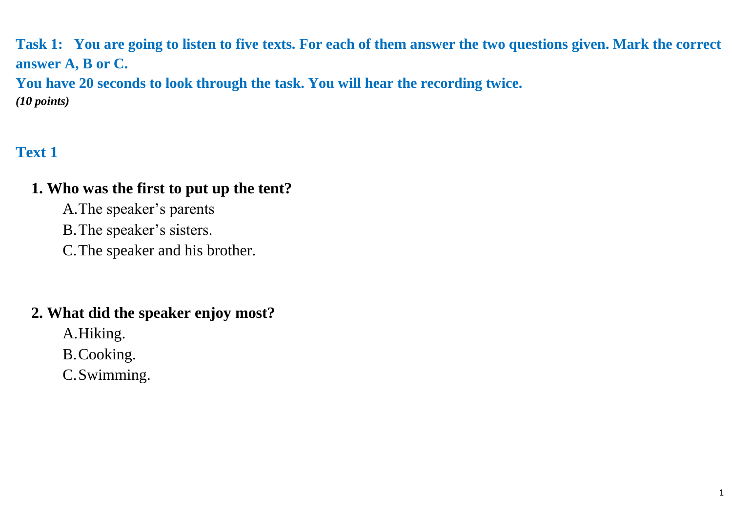**Task 1: You are going to listen to five texts. For each of them answer the two questions given. Mark the correct answer A, B or C. You have 20 seconds to look through the task. You will hear the recording twice.**

*(10 points)*

# **Text 1**

# **1. Who was the first to put up the tent?**

A.The speaker's parents

B.The speaker's sisters.

C.The speaker and his brother.

# **2. What did the speaker enjoy most?**

A.Hiking.

B.Cooking.

C.Swimming.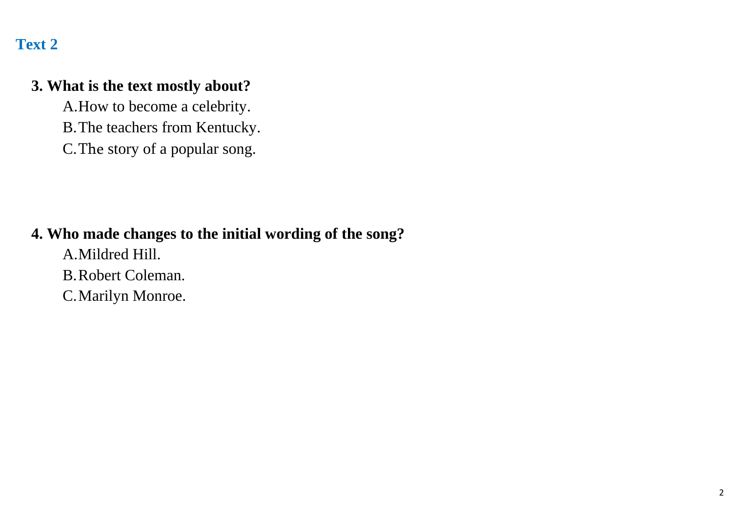#### **3. What is the text mostly about?**

A.How to become a celebrity. B.The teachers from Kentucky. C.The story of a popular song.

#### **4. Who made changes to the initial wording of the song?**

A.Mildred Hill. B.Robert Coleman. C.Marilyn Monroe.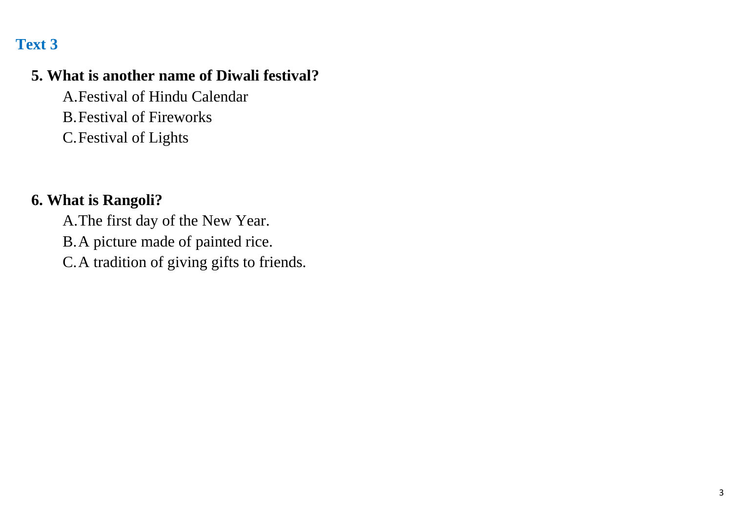## **5. What is another name of Diwali festival?**

A.Festival of Hindu Calendar B.Festival of Fireworks C.Festival of Lights

#### **6. What is Rangoli?**

A.The first day of the New Year. B.A picture made of painted rice. C.A tradition of giving gifts to friends.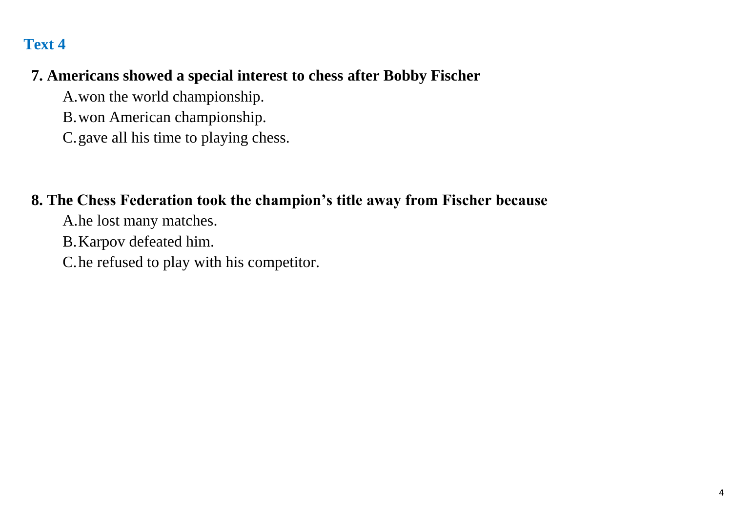# **7. Americans showed a special interest to chess after Bobby Fischer**

A.won the world championship.

B.won American championship.

C.gave all his time to playing chess.

## **8. The Chess Federation took the champion's title away from Fischer because**

A.he lost many matches.

B.Karpov defeated him.

C.he refused to play with his competitor.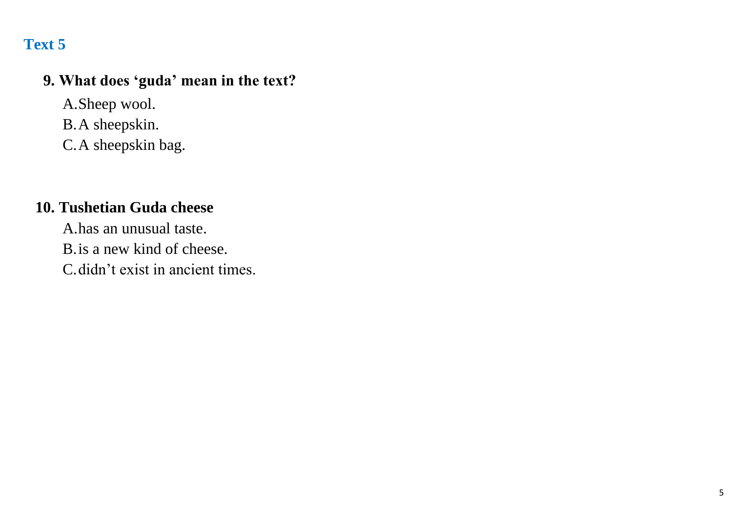## **9. What does 'guda' mean in the text?**

A.Sheep wool. B.A sheepskin. C.A sheepskin bag.

## **10. Tushetian Guda cheese**

A.has an unusual taste. B.is a new kind of cheese.

C.didn't exist in ancient times.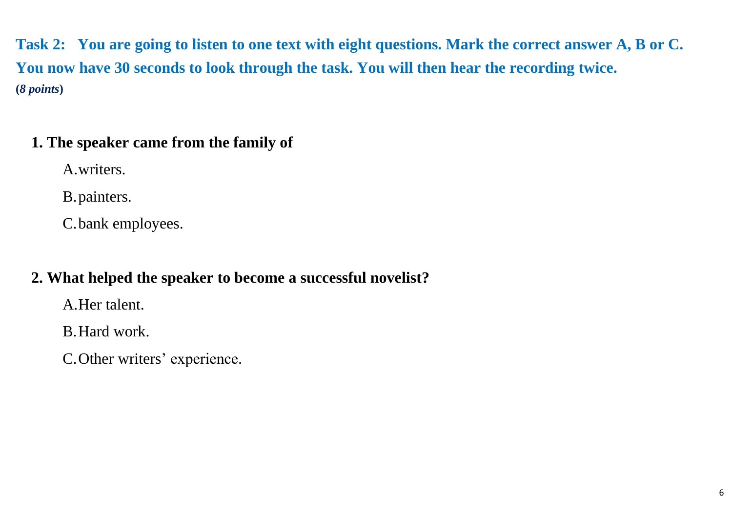**Task 2: You are going to listen to one text with eight questions. Mark the correct answer A, B or C. You now have 30 seconds to look through the task. You will then hear the recording twice. (***8 points***)**

# **1. The speaker came from the family of**

A.writers.

B.painters.

C.bank employees.

# **2. What helped the speaker to become a successful novelist?**

A.Her talent.

B.Hard work.

C.Other writers' experience.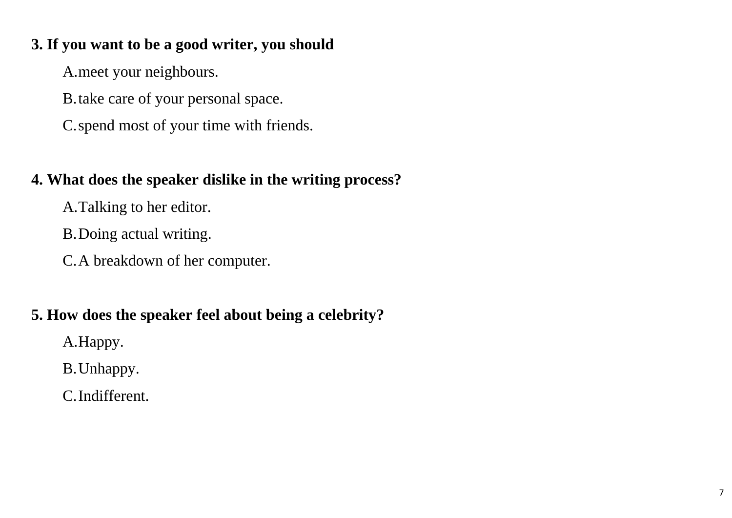# **3. If you want to be a good writer, you should**

A.meet your neighbours.

B.take care of your personal space.

C.spend most of your time with friends.

# **4. What does the speaker dislike in the writing process?**

A.Talking to her editor.

B.Doing actual writing.

C.A breakdown of her computer.

# **5. How does the speaker feel about being a celebrity?**

A.Happy.

B.Unhappy.

C.Indifferent.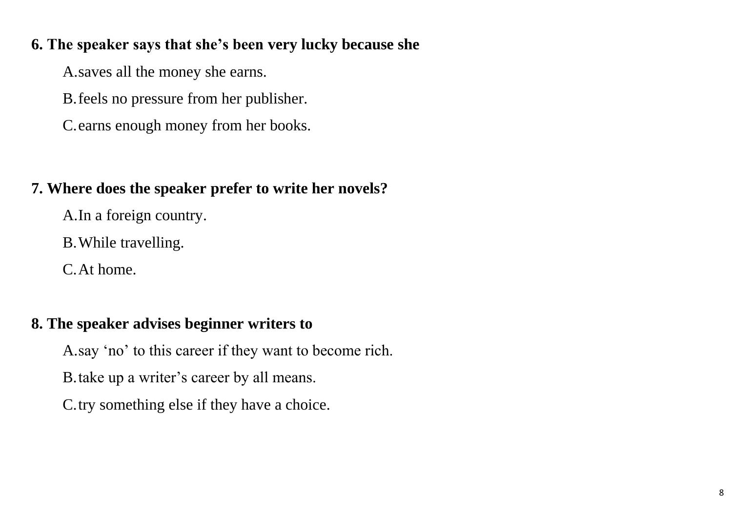#### **6. The speaker says that she's been very lucky because she**

A.saves all the money she earns.

B.feels no pressure from her publisher.

C.earns enough money from her books.

# **7. Where does the speaker prefer to write her novels?**

A.In a foreign country.

B.While travelling.

C.At home.

# **8. The speaker advises beginner writers to**

A.say 'no' to this career if they want to become rich.

B.take up a writer's career by all means.

C.try something else if they have a choice.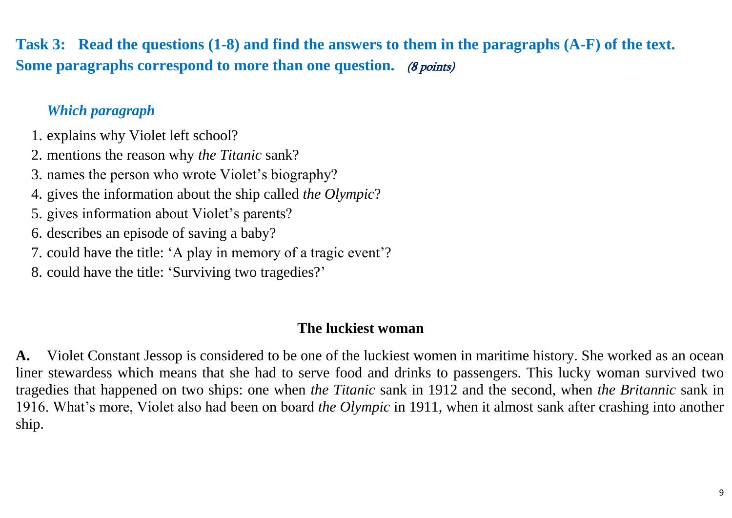**Task 3: Read the questions (1-8) and find the answers to them in the paragraphs (A-F) of the text.**  Some paragraphs correspond to more than one question. (8 points)

## *Which paragraph*

1. explains why Violet left school?

2. mentions the reason why *the Titanic* sank?

- 3. names the person who wrote Violet's biography?
- 4. gives the information about the ship called *the Olympic*?
- 5. gives information about Violet's parents?
- 6. describes an episode of saving a baby?
- 7. could have the title: 'A play in memory of a tragic event'?
- 8. could have the title: 'Surviving two tragedies?'

#### **The luckiest woman**

**A.** Violet Constant Jessop is considered to be one of the luckiest women in maritime history. She worked as an ocean liner stewardess which means that she had to serve food and drinks to passengers. This lucky woman survived two tragedies that happened on two ships: one when *the Titanic* sank in 1912 and the second, when *the Britannic* sank in 1916. What's more, Violet also had been on board *the Olympic* in 1911, when it almost sank after crashing into another ship.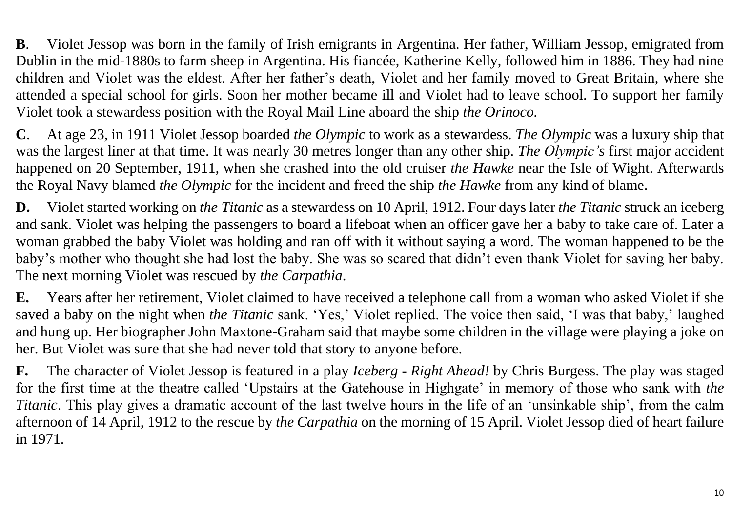**B**. Violet Jessop was born in the family of Irish emigrants in Argentina. Her father, William Jessop, emigrated from Dublin in the mid-1880s to farm sheep in Argentina. His fiancée, Katherine Kelly, followed him in 1886. They had nine children and Violet was the eldest. After her father's death, Violet and her family moved to Great Britain, where she attended a special school for girls. Soon her mother became ill and Violet had to leave school. To support her family Violet took a stewardess position with the Royal Mail Line aboard the ship *the Orinoco.*

**C**. At age 23, in 1911 Violet Jessop boarded *the Olympic* to work as a stewardess. *The Olympic* was a luxury ship that was the largest liner at that time. It was nearly 30 metres longer than any other ship. *The Olympic's* first major accident happened on 20 September, 1911, when she crashed into the old cruiser *the Hawke* near the Isle of Wight. Afterwards the Royal Navy blamed *the Olympic* for the incident and freed the ship *the Hawke* from any kind of blame.

**D.** Violet started working on *the Titanic* as a stewardess on 10 April, 1912. Four days later *the Titanic* struck an iceberg and sank. Violet was helping the passengers to board a lifeboat when an officer gave her a baby to take care of. Later a woman grabbed the baby Violet was holding and ran off with it without saying a word. The woman happened to be the baby's mother who thought she had lost the baby. She was so scared that didn't even thank Violet for saving her baby. The next morning Violet was rescued by *the Carpathia*.

**E.** Years after her retirement, Violet claimed to have received a telephone call from a woman who asked Violet if she saved a baby on the night when *the Titanic* sank. 'Yes,' Violet replied. The voice then said, 'I was that baby,' laughed and hung up. Her biographer John Maxtone-Graham said that maybe some children in the village were playing a joke on her. But Violet was sure that she had never told that story to anyone before.

**F.** The character of Violet Jessop is featured in a play *Iceberg - Right Ahead!* by Chris Burgess. The play was staged for the first time at the theatre called 'Upstairs at the Gatehouse in Highgate' in memory of those who sank with *the Titanic*. This play gives a dramatic account of the last twelve hours in the life of an 'unsinkable ship', from the calm afternoon of 14 April, 1912 to the rescue by *the Carpathia* on the morning of 15 April. Violet Jessop died of heart failure in 1971.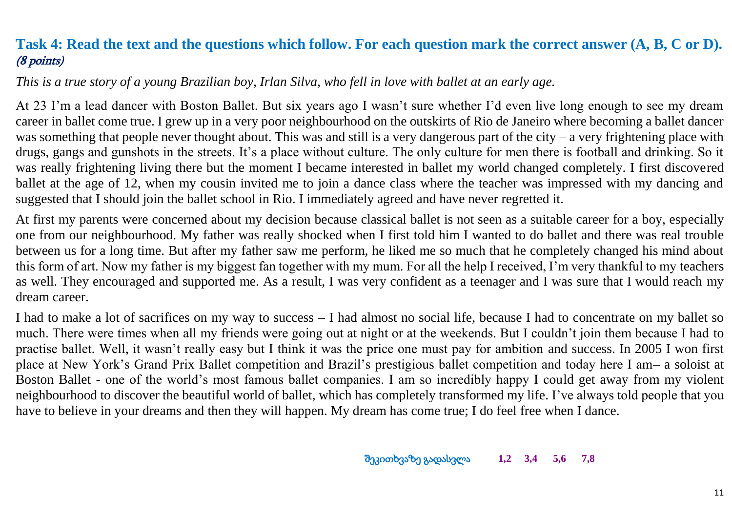## <span id="page-11-0"></span>**Task 4: Read the text and the questions which follow. For each question mark the correct answer (A, B, C or D).** (8 points)

*This is a true story of a young Brazilian boy, Irlan Silva, who fell in love with ballet at an early age.* 

At 23 I'm a lead dancer with Boston Ballet. But six years ago I wasn't sure whether I'd even live long enough to see my dream career in ballet come true. I grew up in a very poor neighbourhood on the outskirts of Rio de Janeiro where becoming a ballet dancer was something that people never thought about. This was and still is a very dangerous part of the city – a very frightening place with drugs, gangs and gunshots in the streets. It's a place without culture. The only culture for men there is football and drinking. So it was really frightening living there but the moment I became interested in ballet my world changed completely. I first discovered ballet at the age of 12, when my cousin invited me to join a dance class where the teacher was impressed with my dancing and suggested that I should join the ballet school in Rio. I immediately agreed and have never regretted it.

At first my parents were concerned about my decision because classical ballet is not seen as a suitable career for a boy, especially one from our neighbourhood. My father was really shocked when I first told him I wanted to do ballet and there was real trouble between us for a long time. But after my father saw me perform, he liked me so much that he completely changed his mind about this form of art. Now my father is my biggest fan together with my mum. For all the help I received, I'm very thankful to my teachers as well. They encouraged and supported me. As a result, I was very confident as a teenager and I was sure that I would reach my dream career.

I had to make a lot of sacrifices on my way to success – I had almost no social life, because I had to concentrate on my ballet so much. There were times when all my friends were going out at night or at the weekends. But I couldn't join them because I had to practise ballet. Well, it wasn't really easy but I think it was the price one must pay for ambition and success. In 2005 I won first place at New York's Grand Prix Ballet competition and Brazil's prestigious ballet competition and today here I am– a soloist at Boston Ballet - one of the world's most famous ballet companies. I am so incredibly happy I could get away from my violent neighbourhood to discover the beautiful world of ballet, which has completely transformed my life. I've always told people that you have to believe in your dreams and then they will happen. My dream has come true; I do feel free when I dance.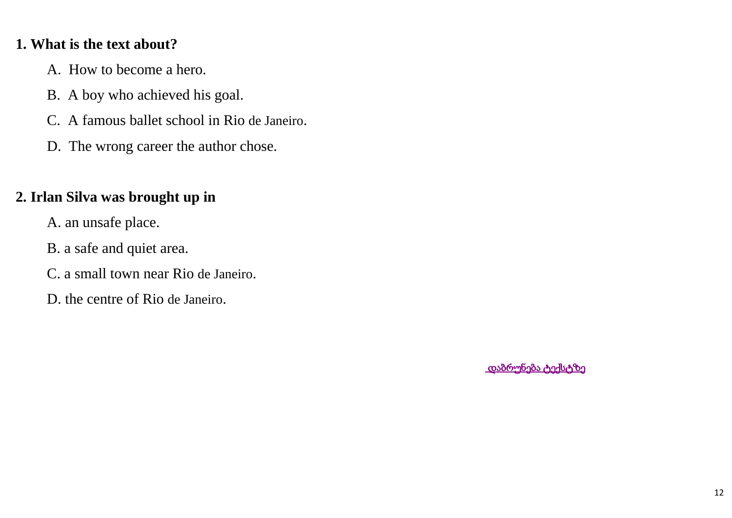#### <span id="page-12-0"></span>**1. What is the text about?**

- A. How to become a hero.
- B. A boy who achieved his goal.
- C. A famous ballet school in Rio de Janeiro.
- D. The wrong career the author chose.

## **2. Irlan Silva was brought up in**

- A. an unsafe place.
- B. a safe and quiet area.
- C. a small town near Rio de Janeiro.
- D. the centre of Rio de Janeiro.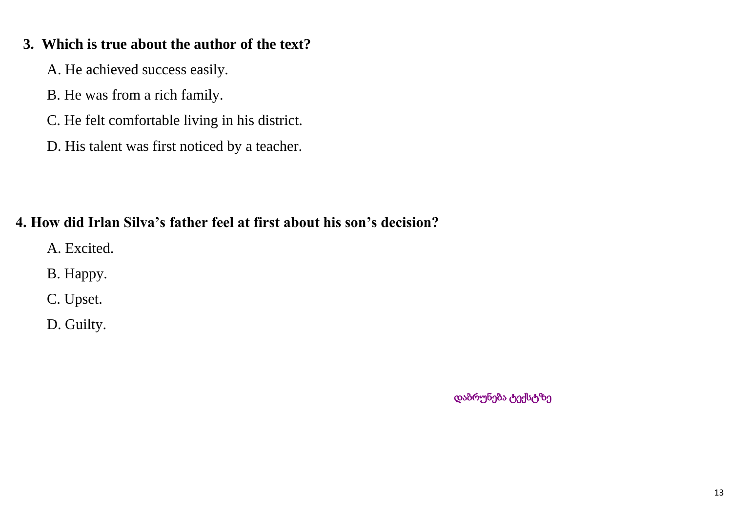#### <span id="page-13-0"></span> **3. Which is true about the author of the text?**

A. He achieved success easily.

- B. He was from a rich family.
- C. He felt comfortable living in his district.
- D. His talent was first noticed by a teacher.

# **4. How did Irlan Silva's father feel at first about his son's decision?**

- A. Excited.
- B. Happy.
- C. Upset.
- D. Guilty.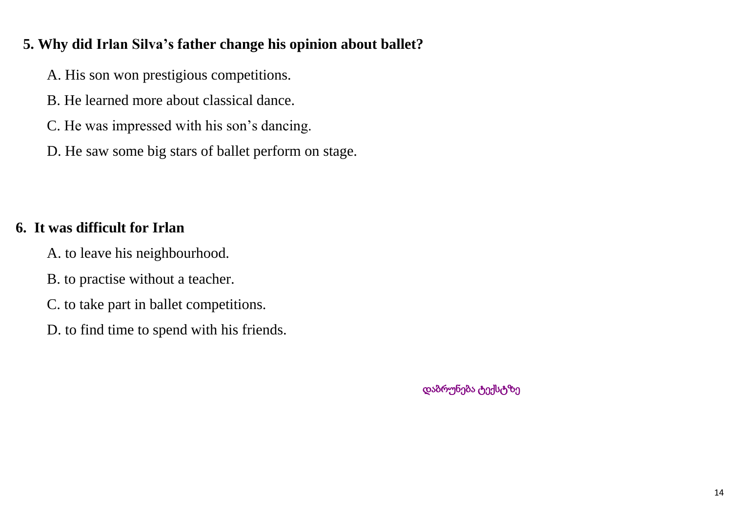#### <span id="page-14-0"></span> **5. Why did Irlan Silva's father change his opinion about ballet?**

- A. His son won prestigious competitions.
- B. He learned more about classical dance.
- C. He was impressed with his son's dancing.
- D. He saw some big stars of ballet perform on stage.

# **6. It was difficult for Irlan**

- A. to leave his neighbourhood.
- B. to practise without a teacher.
- C. to take part in ballet competitions.
- D. to find time to spend with his friends.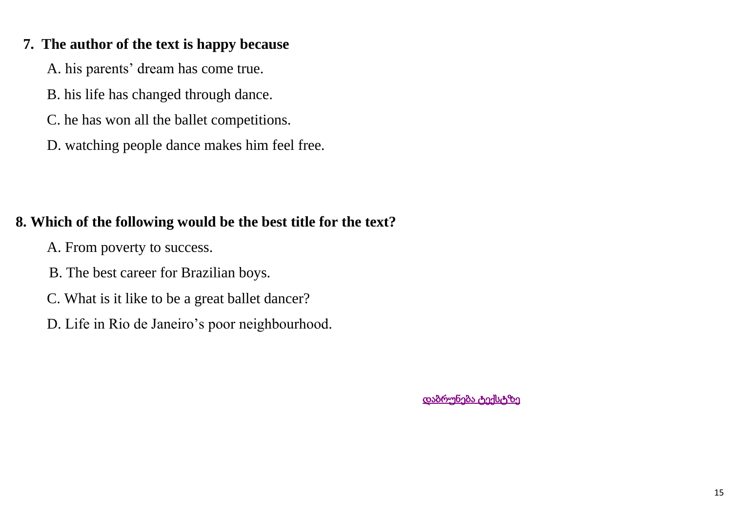#### <span id="page-15-0"></span> **7. The author of the text is happy because**

A. his parents' dream has come true.

B. his life has changed through dance.

C. he has won all the ballet competitions.

D. watching people dance makes him feel free.

## **8. Which of the following would be the best title for the text?**

A. From poverty to success.

B. The best career for Brazilian boys.

C. What is it like to be a great ballet dancer?

D. Life in Rio de Janeiro's poor neighbourhood.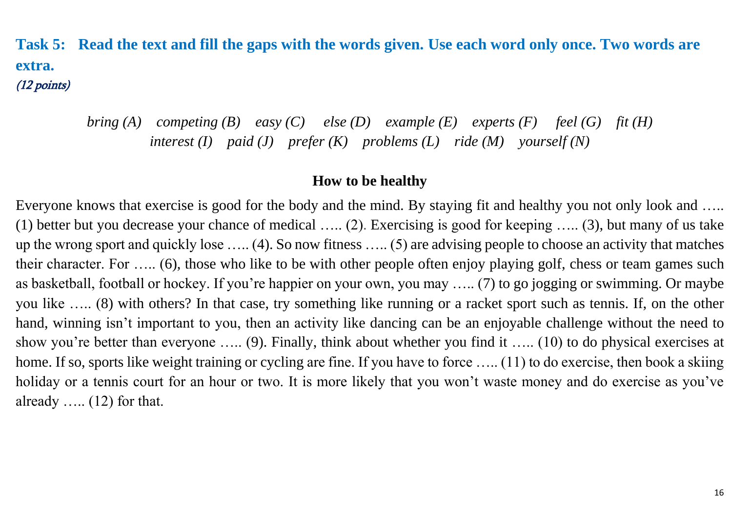**Task 5: Read the text and fill the gaps with the words given. Use each word only once. Two words are extra.**  (12 points)

> *bring (A) competing (B) easy (C) else (D) example (E) experts (F) feel (G) fit (H) interest (I) paid (J) prefer (K) problems (L) ride (M) yourself (N)*

#### **How to be healthy**

Everyone knows that exercise is good for the body and the mind. By staying fit and healthy you not only look and ….. (1) better but you decrease your chance of medical ….. (2). Exercising is good for keeping ….. (3), but many of us take up the wrong sport and quickly lose ….. (4). So now fitness ….. (5) are advising people to choose an activity that matches their character. For ….. (6), those who like to be with other people often enjoy playing golf, chess or team games such as basketball, football or hockey. If you're happier on your own, you may ….. (7) to go jogging or swimming. Or maybe you like ….. (8) with others? In that case, try something like running or a racket sport such as tennis. If, on the other hand, winning isn't important to you, then an activity like dancing can be an enjoyable challenge without the need to show you're better than everyone ….. (9). Finally, think about whether you find it ….. (10) to do physical exercises at home. If so, sports like weight training or cycling are fine. If you have to force ….. (11) to do exercise, then book a skiing holiday or a tennis court for an hour or two. It is more likely that you won't waste money and do exercise as you've already  $\dots$  (12) for that.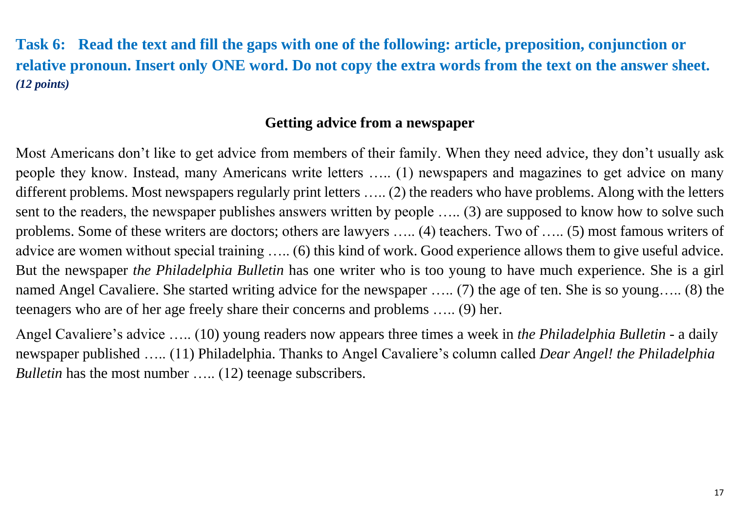**Task 6: Read the text and fill the gaps with one of the following: article, preposition, conjunction or relative pronoun. Insert only ONE word. Do not copy the extra words from the text on the answer sheet.** *(12 points)*

#### **Getting advice from a newspaper**

Most Americans don't like to get advice from members of their family. When they need advice*,* they don't usually ask people they know. Instead, many Americans write letters ….. (1) newspapers and magazines to get advice on many different problems. Most newspapers regularly print letters ….. (2) the readers who have problems. Along with the letters sent to the readers, the newspaper publishes answers written by people ….. (3) are supposed to know how to solve such problems. Some of these writers are doctors; others are lawyers ….. (4) teachers. Two of ….. (5) most famous writers of advice are women without special training ….. (6) this kind of work. Good experience allows them to give useful advice. But the newspaper *the Philadelphia Bulletin* has one writer who is too young to have much experience. She is a girl named Angel Cavaliere. She started writing advice for the newspaper ….. (7) the age of ten. She is so young….. (8) the teenagers who are of her age freely share their concerns and problems ….. (9) her.

Angel Cavaliere's advice ….. (10) young readers now appears three times a week in *the Philadelphia Bulletin -* a daily newspaper published ….. (11) Philadelphia. Thanks to Angel Cavaliere's column called *Dear Angel! the Philadelphia Bulletin* has the most number ..... (12) teenage subscribers.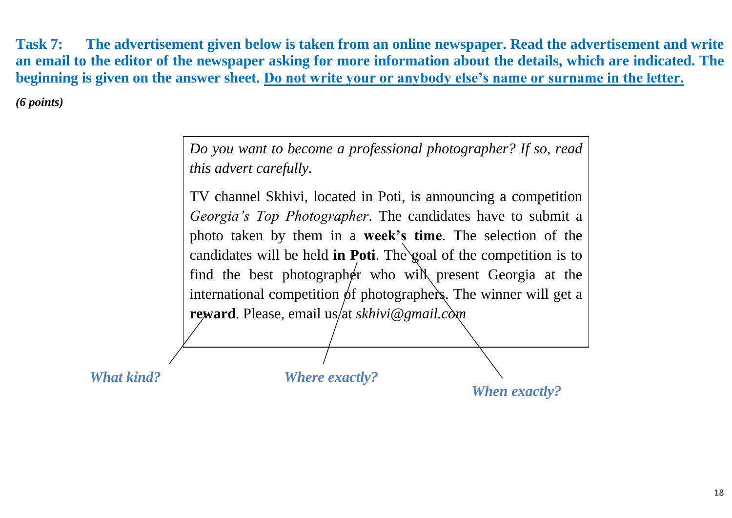**Task 7: The advertisement given below is taken from an online newspaper. Read the advertisement and write an email to the editor of the newspaper asking for more information about the details, which are indicated. The beginning is given on the answer sheet. Do not write your or anybody else's name or surname in the letter.** 

*(6 points)*

|                   | Do you want to become a professional photographer? If so, read<br><i>this advert carefully.</i>                                                                                                                                                                                                                                                                                                                                                                      |
|-------------------|----------------------------------------------------------------------------------------------------------------------------------------------------------------------------------------------------------------------------------------------------------------------------------------------------------------------------------------------------------------------------------------------------------------------------------------------------------------------|
|                   | TV channel Skhivi, located in Poti, is announcing a competition<br><i>Georgia's Top Photographer.</i> The candidates have to submit a<br>photo taken by them in a <b>week's time</b> . The selection of the<br>candidates will be held in Poti. The goal of the competition is to<br>find the best photographer who will present Georgia at the<br>international competition of photographers. The winner will get a<br>reward. Please, email us/at skhivi@gmail.com |
| <b>What kind?</b> | <b>Where exactly?</b><br><b>When exactly?</b>                                                                                                                                                                                                                                                                                                                                                                                                                        |